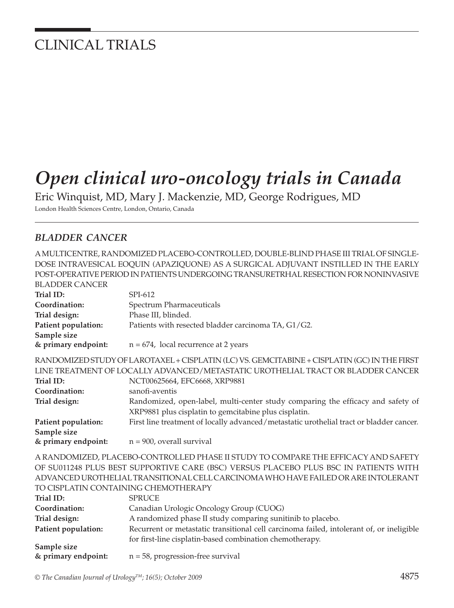## CLINICAL TRIALS

# *Open clinical uro-oncology trials in Canada*

Eric Winquist, MD, Mary J. Mackenzie, MD, George Rodrigues, MD

London Health Sciences Centre, London, Ontario, Canada

#### *BLADDER CANCER*

A MULTICENTRE, RANDOMIZED PLACEBO-CONTROLLED, DOUBLE-BLIND PHASE III TRIAL OF SINGLE-DOSE INTRAVESICAL EOQUIN (APAZIQUONE) AS A SURGICAL ADJUVANT INSTILLED IN THE EARLY POST-OPERATIVE PERIOD IN PATIENTS UNDERGOING TRANSURETRHAL RESECTION FOR NONINVASIVE BLADDER CANCER **Trial ID:** SPI-612 **Coordination:** Spectrum Pharmaceuticals **Trial design:** Phase III, blinded. **Patient population:** Patients with resected bladder carcinoma TA, G1/G2. **Sample size & primary endpoint:** n = 674, local recurrence at 2 years RANDOMIZED STUDY OF LAROTAXEL + CISPLATIN (LC) VS. GEMCITABINE + CISPLATIN (GC) IN THE FIRST LINE TREATMENT OF LOCALLY ADVANCED/METASTATIC UROTHELIAL TRACT OR BLADDER CANCER **Trial ID: NCT00625664, EFC6668, XRP9881 Coordination:** sanofi-aventis **Trial design: Randomized, open-label, multi-center study comparing the efficacy and safety of**  XRP9881 plus cisplatin to gemcitabine plus cisplatin. **Patient population:** First line treatment of locally advanced/metastatic urothelial tract or bladder cancer. **Sample size & primary endpoint:** n = 900, overall survival A RANDOMIZED, PLACEBO-CONTROLLED PHASE II STUDY TO COMPARE THE EFFICACY AND SAFETY OF SU011248 PLUS BEST SUPPORTIVE CARE (BSC) VERSUS PLACEBO PLUS BSC IN PATIENTS WITH ADVANCED UROTHELIAL TRANSITIONAL CELL CARCINOMA WHO HAVE FAILED OR ARE INTOLERANT TO CISPLATIN CONTAINING CHEMOTHERAPY Trial ID: **SPRUCE Coordination:** Canadian Urologic Oncology Group (CUOG) **Trial design:** A randomized phase II study comparing sunitinib to placebo. **Patient population:** Recurrent or metastatic transitional cell carcinoma failed, intolerant of, or ineligible for first-line cisplatin-based combination chemotherapy.<br> **Sample size & primary endpoint:** n = 58, progression-free survival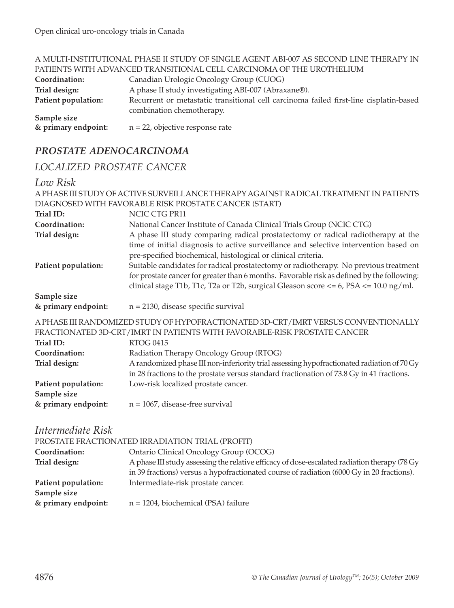|                     | A MULTI-INSTITUTIONAL PHASE II STUDY OF SINGLE AGENT ABI-007 AS SECOND LINE THERAPY IN |
|---------------------|----------------------------------------------------------------------------------------|
|                     | PATIENTS WITH ADVANCED TRANSITIONAL CELL CARCINOMA OF THE UROTHELIUM                   |
| Coordination:       | Canadian Urologic Oncology Group (CUOG)                                                |
| Trial design:       | A phase II study investigating ABI-007 (Abraxane®).                                    |
| Patient population: | Recurrent or metastatic transitional cell carcinoma failed first-line cisplatin-based  |
|                     | combination chemotherapy.                                                              |
| Sample size         |                                                                                        |
| & primary endpoint: | $n = 22$ , objective response rate                                                     |

### *PROSTATE ADENOCARCINOMA*

### *LOCALIZED PROSTATE CANCER*

#### *Low Risk*

|                                                                            | A PHASE III STUDY OF ACTIVE SURVEILLANCE THERAPY AGAINST RADICAL TREATMENT IN PATIENTS                                                                                                                                                                                                                                            |
|----------------------------------------------------------------------------|-----------------------------------------------------------------------------------------------------------------------------------------------------------------------------------------------------------------------------------------------------------------------------------------------------------------------------------|
|                                                                            | DIAGNOSED WITH FAVORABLE RISK PROSTATE CANCER (START)                                                                                                                                                                                                                                                                             |
| Trial ID:                                                                  | NCIC CTG PR11                                                                                                                                                                                                                                                                                                                     |
| Coordination:                                                              | National Cancer Institute of Canada Clinical Trials Group (NCIC CTG)                                                                                                                                                                                                                                                              |
| Trial design:<br>Patient population:                                       | A phase III study comparing radical prostatectomy or radical radiotherapy at the<br>time of initial diagnosis to active surveillance and selective intervention based on<br>pre-specified biochemical, histological or clinical criteria.<br>Suitable candidates for radical prostatectomy or radiotherapy. No previous treatment |
|                                                                            | for prostate cancer for greater than 6 months. Favorable risk as defined by the following:<br>clinical stage T1b, T1c, T2a or T2b, surgical Gleason score <= 6, PSA <= 10.0 ng/ml.                                                                                                                                                |
| Sample size                                                                |                                                                                                                                                                                                                                                                                                                                   |
| & primary endpoint:                                                        | $n = 2130$ , disease specific survival                                                                                                                                                                                                                                                                                            |
| Trial ID:<br>Coordination:<br>Trial design:                                | A PHASE III RANDOMIZED STUDY OF HYPOFRACTIONATED 3D-CRT/IMRT VERSUS CONVENTIONALLY<br>FRACTIONATED 3D-CRT/IMRT IN PATIENTS WITH FAVORABLE-RISK PROSTATE CANCER<br><b>RTOG 0415</b><br>Radiation Therapy Oncology Group (RTOG)<br>A randomized phase III non-inferiority trial assessing hypofractionated radiation of 70 Gy       |
| Patient population:<br>Sample size                                         | in 28 fractions to the prostate versus standard fractionation of 73.8 Gy in 41 fractions.<br>Low-risk localized prostate cancer.                                                                                                                                                                                                  |
| & primary endpoint:                                                        | $n = 1067$ , disease-free survival                                                                                                                                                                                                                                                                                                |
| Intermediate Risk<br>Coordination:<br>Trial design:<br>Patient population: | PROSTATE FRACTIONATED IRRADIATION TRIAL (PROFIT)<br>Ontario Clinical Oncology Group (OCOG)<br>A phase III study assessing the relative efficacy of dose-escalated radiation therapy (78 Gy<br>in 39 fractions) versus a hypofractionated course of radiation (6000 Gy in 20 fractions).<br>Intermediate-risk prostate cancer.     |
| Sample size<br>& primary endpoint:                                         | n = 1204, biochemical (PSA) failure                                                                                                                                                                                                                                                                                               |
|                                                                            |                                                                                                                                                                                                                                                                                                                                   |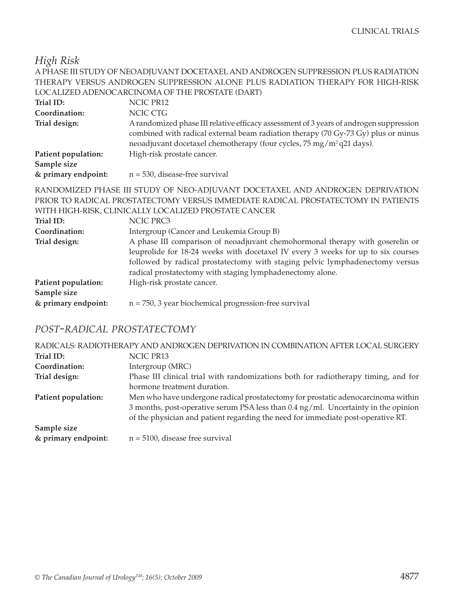*High Risk*

|                     | A PHASE III STUDY OF NEOADJUVANT DOCETAXEL AND ANDROGEN SUPPRESSION PLUS RADIATION                                                                                                                                                                                                                             |
|---------------------|----------------------------------------------------------------------------------------------------------------------------------------------------------------------------------------------------------------------------------------------------------------------------------------------------------------|
|                     | THERAPY VERSUS ANDROGEN SUPPRESSION ALONE PLUS RADIATION THERAPY FOR HIGH-RISK                                                                                                                                                                                                                                 |
|                     | LOCALIZED ADENOCARCINOMA OF THE PROSTATE (DART)                                                                                                                                                                                                                                                                |
| Trial ID:           | NCIC PR12                                                                                                                                                                                                                                                                                                      |
| Coordination:       | NCIC CTG                                                                                                                                                                                                                                                                                                       |
| Trial design:       | A randomized phase III relative efficacy assessment of 3 years of androgen suppression<br>combined with radical external beam radiation therapy (70 Gy-73 Gy) plus or minus<br>neoadjuvant docetaxel chemotherapy (four cycles, 75 mg/m <sup>2</sup> q21 days).                                                |
| Patient population: | High-risk prostate cancer.                                                                                                                                                                                                                                                                                     |
| Sample size         |                                                                                                                                                                                                                                                                                                                |
| & primary endpoint: | $n = 530$ , disease-free survival                                                                                                                                                                                                                                                                              |
|                     | RANDOMIZED PHASE III STUDY OF NEO-ADJUVANT DOCETAXEL AND ANDROGEN DEPRIVATION<br>PRIOR TO RADICAL PROSTATECTOMY VERSUS IMMEDIATE RADICAL PROSTATECTOMY IN PATIENTS<br>WITH HIGH-RISK, CLINICALLY LOCALIZED PROSTATE CANCER                                                                                     |
| Trial ID:           | NCIC PRC3                                                                                                                                                                                                                                                                                                      |
| Coordination:       | Intergroup (Cancer and Leukemia Group B)                                                                                                                                                                                                                                                                       |
| Trial design:       | A phase III comparison of neoadjuvant chemohormonal therapy with goserelin or<br>leuprolide for 18-24 weeks with docetaxel IV every 3 weeks for up to six courses<br>followed by radical prostatectomy with staging pelvic lymphadenectomy versus<br>radical prostatectomy with staging lymphadenectomy alone. |
| Patient population: | High-risk prostate cancer.                                                                                                                                                                                                                                                                                     |

| Coordination:<br>Trial design: | Intergroup (Cancer and Leukemia Group B)<br>A phase III comparison of neoadjuvant chemohormonal therapy with goserelin<br>leuprolide for 18-24 weeks with docetaxel IV every 3 weeks for up to six cours<br>followed by radical prostatectomy with staging pelvic lymphadenectomy verse<br>radical prostatectomy with staging lymphadenectomy alone. |
|--------------------------------|------------------------------------------------------------------------------------------------------------------------------------------------------------------------------------------------------------------------------------------------------------------------------------------------------------------------------------------------------|
| Patient population:            | High-risk prostate cancer.                                                                                                                                                                                                                                                                                                                           |
| Sample size                    |                                                                                                                                                                                                                                                                                                                                                      |
| & primary endpoint:            | $n = 750$ , 3 year biochemical progression-free survival                                                                                                                                                                                                                                                                                             |

#### *POST-RADICAL PROSTATECTOMY*

| RADICALS: RADIOTHERAPY AND ANDROGEN DEPRIVATION IN COMBINATION AFTER LOCAL SURGERY |                                                                                    |
|------------------------------------------------------------------------------------|------------------------------------------------------------------------------------|
| Trial ID:                                                                          | NCIC PR13                                                                          |
| Coordination:                                                                      | Intergroup (MRC)                                                                   |
| Trial design:                                                                      | Phase III clinical trial with randomizations both for radiotherapy timing, and for |
|                                                                                    | hormone treatment duration.                                                        |
| Patient population:                                                                | Men who have undergone radical prostatectomy for prostatic adenocarcinoma within   |
|                                                                                    | 3 months, post-operative serum PSA less than 0.4 ng/ml. Uncertainty in the opinion |
|                                                                                    | of the physician and patient regarding the need for immediate post-operative RT.   |
| Sample size                                                                        |                                                                                    |
| & primary endpoint:                                                                | $n = 5100$ , disease free survival                                                 |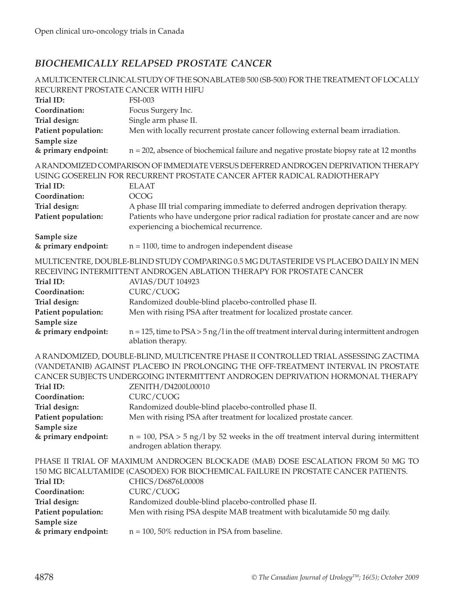#### *BIOCHEMICALLY RELAPSED PROSTATE CANCER*

|                                                                                                                                                                                                                                                                                                                                                                                                                                                                                                  | A MULTICENTER CLINICAL STUDY OF THE SONABLATE® 500 (SB-500) FOR THE TREATMENT OF LOCALLY                                                                                                             |
|--------------------------------------------------------------------------------------------------------------------------------------------------------------------------------------------------------------------------------------------------------------------------------------------------------------------------------------------------------------------------------------------------------------------------------------------------------------------------------------------------|------------------------------------------------------------------------------------------------------------------------------------------------------------------------------------------------------|
| RECURRENT PROSTATE CANCER WITH HIFU                                                                                                                                                                                                                                                                                                                                                                                                                                                              |                                                                                                                                                                                                      |
| Trial ID:                                                                                                                                                                                                                                                                                                                                                                                                                                                                                        | <b>FSI-003</b>                                                                                                                                                                                       |
| Coordination:                                                                                                                                                                                                                                                                                                                                                                                                                                                                                    | Focus Surgery Inc.                                                                                                                                                                                   |
| Trial design:                                                                                                                                                                                                                                                                                                                                                                                                                                                                                    | Single arm phase II.                                                                                                                                                                                 |
| Patient population:                                                                                                                                                                                                                                                                                                                                                                                                                                                                              | Men with locally recurrent prostate cancer following external beam irradiation.                                                                                                                      |
| Sample size<br>& primary endpoint:                                                                                                                                                                                                                                                                                                                                                                                                                                                               | $n = 202$ , absence of biochemical failure and negative prostate biopsy rate at 12 months                                                                                                            |
| Trial ID:                                                                                                                                                                                                                                                                                                                                                                                                                                                                                        | A RANDOMIZED COMPARISON OF IMMEDIATE VERSUS DEFERRED ANDROGEN DEPRIVATION THERAPY<br>USING GOSERELIN FOR RECURRENT PROSTATE CANCER AFTER RADICAL RADIOTHERAPY<br><b>ELAAT</b>                        |
| Coordination:                                                                                                                                                                                                                                                                                                                                                                                                                                                                                    | <b>OCOG</b>                                                                                                                                                                                          |
| Trial design:                                                                                                                                                                                                                                                                                                                                                                                                                                                                                    | A phase III trial comparing immediate to deferred androgen deprivation therapy.                                                                                                                      |
| Patient population:                                                                                                                                                                                                                                                                                                                                                                                                                                                                              | Patients who have undergone prior radical radiation for prostate cancer and are now<br>experiencing a biochemical recurrence.                                                                        |
| Sample size                                                                                                                                                                                                                                                                                                                                                                                                                                                                                      |                                                                                                                                                                                                      |
| & primary endpoint:                                                                                                                                                                                                                                                                                                                                                                                                                                                                              | $n = 1100$ , time to androgen independent disease                                                                                                                                                    |
| Trial ID:<br>Coordination:                                                                                                                                                                                                                                                                                                                                                                                                                                                                       | MULTICENTRE, DOUBLE-BLIND STUDY COMPARING 0.5 MG DUTASTERIDE VS PLACEBO DAILY IN MEN<br>RECEIVING INTERMITTENT ANDROGEN ABLATION THERAPY FOR PROSTATE CANCER<br><b>AVIAS/DUT 104923</b><br>CURC/CUOG |
| Trial design:                                                                                                                                                                                                                                                                                                                                                                                                                                                                                    | Randomized double-blind placebo-controlled phase II.                                                                                                                                                 |
| Patient population:                                                                                                                                                                                                                                                                                                                                                                                                                                                                              | Men with rising PSA after treatment for localized prostate cancer.                                                                                                                                   |
| Sample size                                                                                                                                                                                                                                                                                                                                                                                                                                                                                      |                                                                                                                                                                                                      |
| & primary endpoint:                                                                                                                                                                                                                                                                                                                                                                                                                                                                              | $n = 125$ , time to $PSA > 5$ ng/l in the off treatment interval during intermittent androgen<br>ablation therapy.                                                                                   |
| A RANDOMIZED, DOUBLE-BLIND, MULTICENTRE PHASE II CONTROLLED TRIAL ASSESSING ZACTIMA<br>(VANDETANIB) AGAINST PLACEBO IN PROLONGING THE OFF-TREATMENT INTERVAL IN PROSTATE<br>CANCER SUBJECTS UNDERGOING INTERMITTENT ANDROGEN DEPRIVATION HORMONAL THERAPY<br>Trial ID:<br>ZENITH/D4200L00010<br>CURC/CUOG<br>Coordination:<br>Trial design:<br>Randomized double-blind placebo-controlled phase II.<br>Men with rising PSA after treatment for localized prostate cancer.<br>Patient population: |                                                                                                                                                                                                      |
| Sample size                                                                                                                                                                                                                                                                                                                                                                                                                                                                                      |                                                                                                                                                                                                      |
| & primary endpoint:                                                                                                                                                                                                                                                                                                                                                                                                                                                                              | $n = 100$ , PSA > 5 ng/l by 52 weeks in the off treatment interval during intermittent<br>androgen ablation therapy.                                                                                 |
| Trial ID:                                                                                                                                                                                                                                                                                                                                                                                                                                                                                        | PHASE II TRIAL OF MAXIMUM ANDROGEN BLOCKADE (MAB) DOSE ESCALATION FROM 50 MG TO<br>150 MG BICALUTAMIDE (CASODEX) FOR BIOCHEMICAL FAILURE IN PROSTATE CANCER PATIENTS.<br>CHICS/D6876L00008           |
| Coordination:                                                                                                                                                                                                                                                                                                                                                                                                                                                                                    | CURC/CUOG                                                                                                                                                                                            |
| Trial design:                                                                                                                                                                                                                                                                                                                                                                                                                                                                                    | Randomized double-blind placebo-controlled phase II.                                                                                                                                                 |
| Patient population:                                                                                                                                                                                                                                                                                                                                                                                                                                                                              | Men with rising PSA despite MAB treatment with bicalutamide 50 mg daily.                                                                                                                             |
| Sample size                                                                                                                                                                                                                                                                                                                                                                                                                                                                                      |                                                                                                                                                                                                      |
| & primary endpoint:                                                                                                                                                                                                                                                                                                                                                                                                                                                                              | $n = 100$ , 50% reduction in PSA from baseline.                                                                                                                                                      |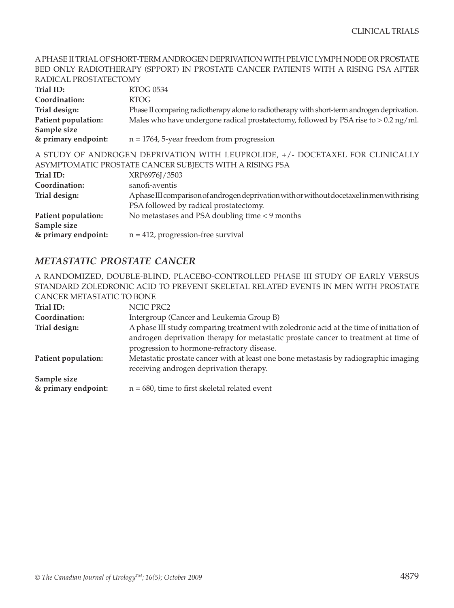#### A PHASE II TRIAL OF SHORT-TERM ANDROGEN DEPRIVATION WITH PELVIC LYMPH NODE OR PROSTATE BED ONLY RADIOTHERAPY (SPPORT) IN PROSTATE CANCER PATIENTS WITH A RISING PSA AFTER RADICAL PROSTATECTOMY

| KADICAL PROSTATECTOMY                                                         |                                                                                             |
|-------------------------------------------------------------------------------|---------------------------------------------------------------------------------------------|
| Trial ID:                                                                     | <b>RTOG 0534</b>                                                                            |
| Coordination:                                                                 | <b>RTOG</b>                                                                                 |
| Trial design:                                                                 | Phase II comparing radiotherapy alone to radiotherapy with short-term androgen deprivation. |
| Patient population:                                                           | Males who have undergone radical prostatectomy, followed by PSA rise to $> 0.2$ ng/ml.      |
| Sample size                                                                   |                                                                                             |
| & primary endpoint:                                                           | $n = 1764$ , 5-year freedom from progression                                                |
| A STUDY OF ANDROGEN DEPRIVATION WITH LEUPROLIDE, +/- DOCETAXEL FOR CLINICALLY |                                                                                             |
|                                                                               | ASYMPTOMATIC PROSTATE CANCER SUBJECTS WITH A RISING PSA                                     |
| Trial ID:                                                                     | XRP6976J/3503                                                                               |
| Coordination:                                                                 | sanofi-aventis                                                                              |
| Trial design:                                                                 | Aphase III comparison of androgen deprivation with or without docetaxel in men with rising  |
|                                                                               | PSA followed by radical prostatectomy.                                                      |
| Patient population:                                                           | No metastases and PSA doubling time $\leq$ 9 months                                         |
| Sample size                                                                   |                                                                                             |
| & primary endpoint:                                                           | $n = 412$ , progression-free survival                                                       |
|                                                                               |                                                                                             |

#### *METASTATIC PROSTATE CANCER*

A RANDOMIZED, DOUBLE-BLIND, PLACEBO-CONTROLLED PHASE III STUDY OF EARLY VERSUS STANDARD ZOLEDRONIC ACID TO PREVENT SKELETAL RELATED EVENTS IN MEN WITH PROSTATE CANCER METASTATIC TO BONE

| Trial ID:           | NCIC PRC2                                                                                                                                                                      |
|---------------------|--------------------------------------------------------------------------------------------------------------------------------------------------------------------------------|
| Coordination:       | Intergroup (Cancer and Leukemia Group B)                                                                                                                                       |
| Trial design:       | A phase III study comparing treatment with zoledronic acid at the time of initiation of<br>androgen deprivation therapy for metastatic prostate cancer to treatment at time of |
|                     | progression to hormone-refractory disease.                                                                                                                                     |
| Patient population: | Metastatic prostate cancer with at least one bone metastasis by radiographic imaging<br>receiving androgen deprivation therapy.                                                |
| Sample size         |                                                                                                                                                                                |
| & primary endpoint: | $n = 680$ , time to first skeletal related event                                                                                                                               |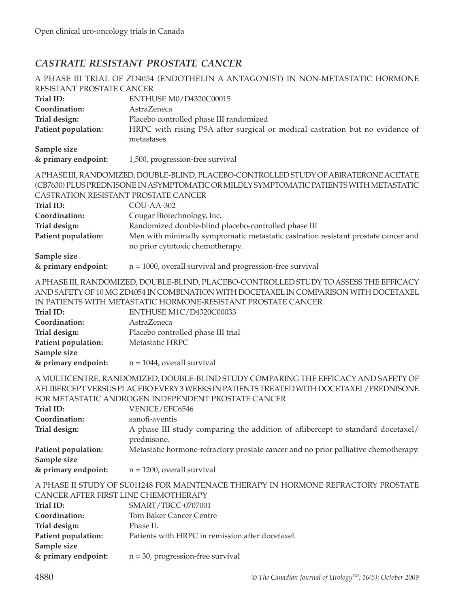#### *CASTRATE RESISTANT PROSTATE CANCER*

|                                                                                     | A PHASE III TRIAL OF ZD4054 (ENDOTHELIN A ANTAGONIST) IN NON-METASTATIC HORMONE                                                                                                                                                                                                                                                                                          |
|-------------------------------------------------------------------------------------|--------------------------------------------------------------------------------------------------------------------------------------------------------------------------------------------------------------------------------------------------------------------------------------------------------------------------------------------------------------------------|
| RESISTANT PROSTATE CANCER                                                           |                                                                                                                                                                                                                                                                                                                                                                          |
| Trial ID:                                                                           | ENTHUSE M0/D4320C00015                                                                                                                                                                                                                                                                                                                                                   |
| Coordination:                                                                       | AstraZeneca                                                                                                                                                                                                                                                                                                                                                              |
| Trial design:                                                                       | Placebo controlled phase III randomized                                                                                                                                                                                                                                                                                                                                  |
| Patient population:                                                                 | HRPC with rising PSA after surgical or medical castration but no evidence of                                                                                                                                                                                                                                                                                             |
|                                                                                     | metastases.                                                                                                                                                                                                                                                                                                                                                              |
| Sample size                                                                         |                                                                                                                                                                                                                                                                                                                                                                          |
| & primary endpoint:                                                                 | 1,500, progression-free survival                                                                                                                                                                                                                                                                                                                                         |
| CASTRATION RESISTANT PROSTATE CANCER<br>Trial ID:<br>Coordination:<br>Trial design: | A PHASE III, RANDOMIZED, DOUBLE-BLIND, PLACEBO-CONTROLLED STUDY OF ABIRATERONE ACETATE<br>(CB7630) PLUS PREDNISONE IN ASYMPTOMATIC OR MILDLY SYMPTOMATIC PATIENTS WITH METASTATIC<br>COU-AA-302<br>Cougar Biotechnology, Inc.<br>Randomized double-blind placebo-controlled phase III                                                                                    |
| Patient population:                                                                 | Men with minimally symptomatic metastatic castration resistant prostate cancer and<br>no prior cytotoxic chemotherapy.                                                                                                                                                                                                                                                   |
| Sample size                                                                         |                                                                                                                                                                                                                                                                                                                                                                          |
| & primary endpoint:                                                                 | $n = 1000$ , overall survival and progression-free survival                                                                                                                                                                                                                                                                                                              |
| Trial ID:<br>Coordination:<br>Trial design:                                         | A PHASE III, RANDOMIZED, DOUBLE-BLIND, PLACEBO-CONTROLLED STUDY TO ASSESS THE EFFICACY<br>AND SAFETY OF 10 MG ZD4054 IN COMBINATION WITH DOCETAXEL IN COMPARISON WITH DOCETAXEL<br>IN PATIENTS WITH METASTATIC HORMONE-RESISTANT PROSTATE CANCER<br>ENTHUSE M1C/D4320C00033<br>AstraZeneca<br>Placebo controlled phase III trial                                         |
| Patient population:                                                                 | Metastatic HRPC                                                                                                                                                                                                                                                                                                                                                          |
| Sample size                                                                         |                                                                                                                                                                                                                                                                                                                                                                          |
| & primary endpoint:                                                                 | $n = 1044$ , overall survival                                                                                                                                                                                                                                                                                                                                            |
| Trial ID:<br>Coordination:<br>Trial design:                                         | A MULTICENTRE, RANDOMIZED, DOUBLE-BLIND STUDY COMPARING THE EFFICACY AND SAFETY OF<br>AFLIBERCEPT VERSUS PLACEBO EVERY 3 WEEKS IN PATIENTS TREATED WITH DOCETAXEL/PREDNISONE<br>FOR METASTATIC ANDROGEN INDEPENDENT PROSTATE CANCER<br>VENICE/EFC6546<br>sanofi-aventis<br>A phase III study comparing the addition of aflibercept to standard docetaxel/<br>prednisone. |
| Patient population:                                                                 | Metastatic hormone-refractory prostate cancer and no prior palliative chemotherapy.                                                                                                                                                                                                                                                                                      |
| Sample size                                                                         |                                                                                                                                                                                                                                                                                                                                                                          |
| & primary endpoint:                                                                 | $n = 1200$ , overall survival                                                                                                                                                                                                                                                                                                                                            |
| CANCER AFTER FIRST LINE CHEMOTHERAPY<br>Trial ID:<br>Coordination:                  | A PHASE II STUDY OF SU011248 FOR MAINTENACE THERAPY IN HORMONE REFRACTORY PROSTATE<br>SMART/TBCC-0707001<br><b>Tom Baker Cancer Centre</b>                                                                                                                                                                                                                               |
| Trial design:                                                                       | Phase II.                                                                                                                                                                                                                                                                                                                                                                |
| Patient population:                                                                 | Patients with HRPC in remission after docetaxel.                                                                                                                                                                                                                                                                                                                         |
| Sample size<br>& primary endpoint:                                                  | $n = 30$ , progression-free survival                                                                                                                                                                                                                                                                                                                                     |